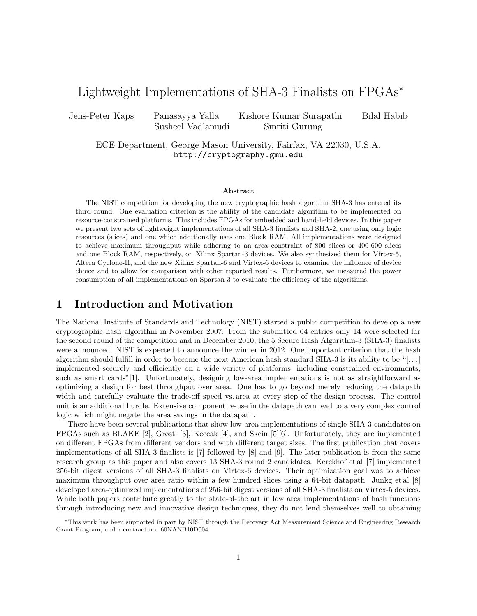# Lightweight Implementations of SHA-3 Finalists on FPGAs*<sup>∗</sup>*

Jens-Peter Kaps Panasayya Yalla Kishore Kumar Surapathi Bilal Habib Susheel Vadlamudi Smriti Gurung

ECE Department, George Mason University, Fairfax, VA 22030, U.S.A. http://cryptography.gmu.edu

#### **Abstract**

The NIST competition for developing the new cryptographic hash algorithm SHA-3 has entered its third round. One evaluation criterion is the ability of the candidate algorithm to be implemented on resource-constrained platforms. This includes FPGAs for embedded and hand-held devices. In this paper we present two sets of lightweight implementations of all SHA-3 finalists and SHA-2, one using only logic resources (slices) and one which additionally uses one Block RAM. All implementations were designed to achieve maximum throughput while adhering to an area constraint of 800 slices or 400-600 slices and one Block RAM, respectively, on Xilinx Spartan-3 devices. We also synthesized them for Virtex-5, Altera Cyclone-II, and the new Xilinx Spartan-6 and Virtex-6 devices to examine the influence of device choice and to allow for comparison with other reported results. Furthermore, we measured the power consumption of all implementations on Spartan-3 to evaluate the efficiency of the algorithms.

# **1 Introduction and Motivation**

The National Institute of Standards and Technology (NIST) started a public competition to develop a new cryptographic hash algorithm in November 2007. From the submitted 64 entries only 14 were selected for the second round of the competition and in December 2010, the 5 Secure Hash Algorithm-3 (SHA-3) finalists were announced. NIST is expected to announce the winner in 2012. One important criterion that the hash algorithm should fulfill in order to become the next American hash standard SHA-3 is its ability to be "[. . . ] implemented securely and efficiently on a wide variety of platforms, including constrained environments, such as smart cards"[1]. Unfortunately, designing low-area implementations is not as straightforward as optimizing a design for best throughput over area. One has to go beyond merely reducing the datapath width and carefully evaluate the trade-off speed vs. area at every step of the design process. The control unit is an additional hurdle. Extensive component re-use in the datapath can lead to a very complex control logic which might negate the area savings in the datapath.

There have been several publications that show low-area implementations of single SHA-3 candidates on FPGAs such as BLAKE [2], Grøstl [3], Keccak [4], and Skein [5][6]. Unfortunately, they are implemented on different FPGAs from different vendors and with different target sizes. The first publication that covers implementations of all SHA-3 finalists is [7] followed by [8] and [9]. The later publication is from the same research group as this paper and also covers 13 SHA-3 round 2 candidates. Kerckhof et al. [7] implemented 256-bit digest versions of all SHA-3 finalists on Virtex-6 devices. Their optimization goal was to achieve maximum throughput over area ratio within a few hundred slices using a 64-bit datapath. Junkg et al. [8] developed area-optimized implementations of 256-bit digest versions of all SHA-3 finalists on Virtex-5 devices. While both papers contribute greatly to the state-of-the art in low area implementations of hash functions through introducing new and innovative design techniques, they do not lend themselves well to obtaining

*<sup>∗</sup>*This work has been supported in part by NIST through the Recovery Act Measurement Science and Engineering Research Grant Program, under contract no. 60NANB10D004.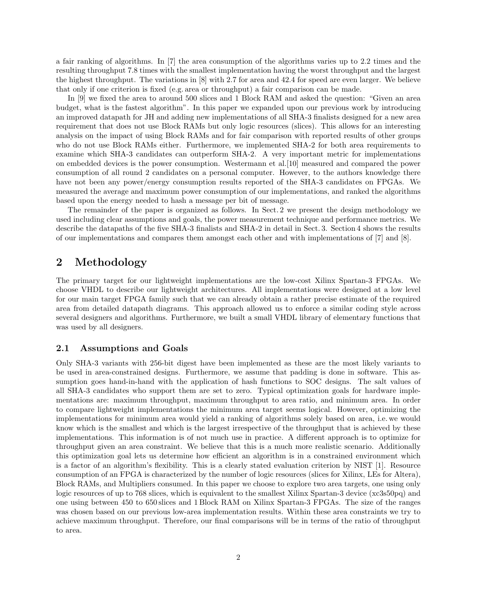a fair ranking of algorithms. In [7] the area consumption of the algorithms varies up to 2.2 times and the resulting throughput 7.8 times with the smallest implementation having the worst throughput and the largest the highest throughput. The variations in [8] with 2.7 for area and 42.4 for speed are even larger. We believe that only if one criterion is fixed (e.g. area or throughput) a fair comparison can be made.

In [9] we fixed the area to around 500 slices and 1 Block RAM and asked the question: "Given an area budget, what is the fastest algorithm". In this paper we expanded upon our previous work by introducing an improved datapath for JH and adding new implementations of all SHA-3 finalists designed for a new area requirement that does not use Block RAMs but only logic resources (slices). This allows for an interesting analysis on the impact of using Block RAMs and for fair comparison with reported results of other groups who do not use Block RAMs either. Furthermore, we implemented SHA-2 for both area requirements to examine which SHA-3 candidates can outperform SHA-2. A very important metric for implementations on embedded devices is the power consumption. Westermann et al.[10] measured and compared the power consumption of all round 2 candidates on a personal computer. However, to the authors knowledge there have not been any power/energy consumption results reported of the SHA-3 candidates on FPGAs. We measured the average and maximum power consumption of our implementations, and ranked the algorithms based upon the energy needed to hash a message per bit of message.

The remainder of the paper is organized as follows. In Sect. 2 we present the design methodology we used including clear assumptions and goals, the power measurement technique and performance metrics. We describe the datapaths of the five SHA-3 finalists and SHA-2 in detail in Sect. 3. Section 4 shows the results of our implementations and compares them amongst each other and with implementations of [7] and [8].

# **2 Methodology**

The primary target for our lightweight implementations are the low-cost Xilinx Spartan-3 FPGAs. We choose VHDL to describe our lightweight architectures. All implementations were designed at a low level for our main target FPGA family such that we can already obtain a rather precise estimate of the required area from detailed datapath diagrams. This approach allowed us to enforce a similar coding style across several designers and algorithms. Furthermore, we built a small VHDL library of elementary functions that was used by all designers.

#### **2.1 Assumptions and Goals**

Only SHA-3 variants with 256-bit digest have been implemented as these are the most likely variants to be used in area-constrained designs. Furthermore, we assume that padding is done in software. This assumption goes hand-in-hand with the application of hash functions to SOC designs. The salt values of all SHA-3 candidates who support them are set to zero. Typical optimization goals for hardware implementations are: maximum throughput, maximum throughput to area ratio, and minimum area. In order to compare lightweight implementations the minimum area target seems logical. However, optimizing the implementations for minimum area would yield a ranking of algorithms solely based on area, i.e. we would know which is the smallest and which is the largest irrespective of the throughput that is achieved by these implementations. This information is of not much use in practice. A different approach is to optimize for throughput given an area constraint. We believe that this is a much more realistic scenario. Additionally this optimization goal lets us determine how efficient an algorithm is in a constrained environment which is a factor of an algorithm's flexibility. This is a clearly stated evaluation criterion by NIST [1]. Resource consumption of an FPGA is characterized by the number of logic resources (slices for Xilinx, LEs for Altera), Block RAMs, and Multipliers consumed. In this paper we choose to explore two area targets, one using only logic resources of up to 768 slices, which is equivalent to the smallest Xilinx Spartan-3 device (xc3s50pq) and one using between 450 to 650 slices and 1 Block RAM on Xilinx Spartan-3 FPGAs. The size of the ranges was chosen based on our previous low-area implementation results. Within these area constraints we try to achieve maximum throughput. Therefore, our final comparisons will be in terms of the ratio of throughput to area.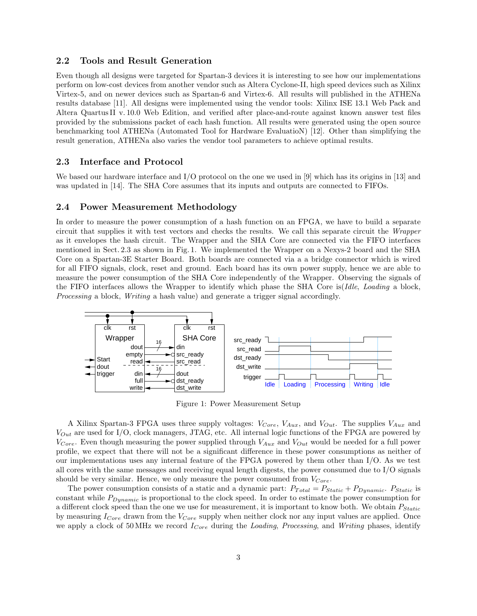#### **2.2 Tools and Result Generation**

Even though all designs were targeted for Spartan-3 devices it is interesting to see how our implementations perform on low-cost devices from another vendor such as Altera Cyclone-II, high speed devices such as Xilinx Virtex-5, and on newer devices such as Spartan-6 and Virtex-6. All results will published in the ATHENa results database [11]. All designs were implemented using the vendor tools: Xilinx ISE 13.1 Web Pack and Altera Quartus II v. 10.0 Web Edition, and verified after place-and-route against known answer test files provided by the submissions packet of each hash function. All results were generated using the open source benchmarking tool ATHENa (Automated Tool for Hardware EvaluatioN) [12]. Other than simplifying the result generation, ATHENa also varies the vendor tool parameters to achieve optimal results.

## **2.3 Interface and Protocol**

We based our hardware interface and I/O protocol on the one we used in [9] which has its origins in [13] and was updated in [14]. The SHA Core assumes that its inputs and outputs are connected to FIFOs.

#### **2.4 Power Measurement Methodology**

In order to measure the power consumption of a hash function on an FPGA, we have to build a separate circuit that supplies it with test vectors and checks the results. We call this separate circuit the *Wrapper* as it envelopes the hash circuit. The Wrapper and the SHA Core are connected via the FIFO interfaces mentioned in Sect. 2.3 as shown in Fig. 1. We implemented the Wrapper on a Nexys-2 board and the SHA Core on a Spartan-3E Starter Board. Both boards are connected via a a bridge connector which is wired for all FIFO signals, clock, reset and ground. Each board has its own power supply, hence we are able to measure the power consumption of the SHA Core independently of the Wrapper. Observing the signals of the FIFO interfaces allows the Wrapper to identify which phase the SHA Core is(*Idle*, *Loading* a block, *Processing* a block, *Writing* a hash value) and generate a trigger signal accordingly.



Figure 1: Power Measurement Setup

A Xilinx Spartan-3 FPGA uses three supply voltages: *VCore*, *VAux*, and *VOut*. The supplies *VAux* and *VOut* are used for I/O, clock managers, JTAG, etc. All internal logic functions of the FPGA are powered by *VCore*. Even though measuring the power supplied through *VAux* and *VOut* would be needed for a full power profile, we expect that there will not be a significant difference in these power consumptions as neither of our implementations uses any internal feature of the FPGA powered by them other than I/O. As we test all cores with the same messages and receiving equal length digests, the power consumed due to I/O signals should be very similar. Hence, we only measure the power consumed from *VCore*.

The power consumption consists of a static and a dynamic part:  $P_{Total} = P_{Static} + P_{Dynamic}$ .  $P_{Static}$  is constant while *PDynamic* is proportional to the clock speed. In order to estimate the power consumption for a different clock speed than the one we use for measurement, it is important to know both. We obtain *PStatic* by measuring *ICore* drawn from the *VCore* supply when neither clock nor any input values are applied. Once we apply a clock of 50 MHz we record *ICore* during the *Loading*, *Processing*, and *Writing* phases, identify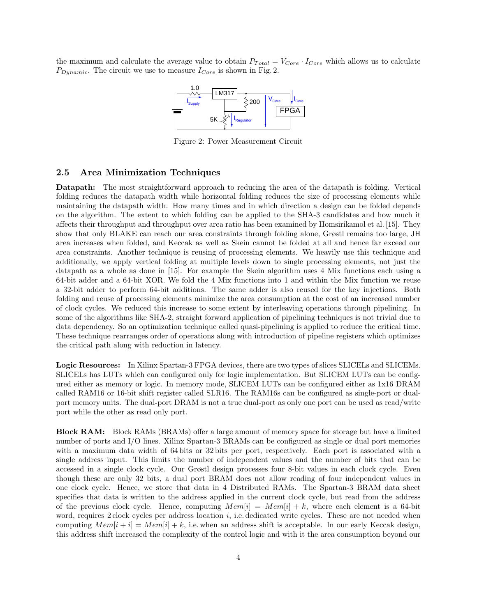the maximum and calculate the average value to obtain  $P_{Total} = V_{Core} \cdot I_{Core}$  which allows us to calculate  $P_{Dynamic}$ . The circuit we use to measure  $I_{Core}$  is shown in Fig. 2.



Figure 2: Power Measurement Circuit

### **2.5 Area Minimization Techniques**

**Datapath:** The most straightforward approach to reducing the area of the datapath is folding. Vertical folding reduces the datapath width while horizontal folding reduces the size of processing elements while maintaining the datapath width. How many times and in which direction a design can be folded depends on the algorithm. The extent to which folding can be applied to the SHA-3 candidates and how much it affects their throughput and throughput over area ratio has been examined by Homsirikamol et al. [15]. They show that only BLAKE can reach our area constraints through folding alone, Grøstl remains too large, JH area increases when folded, and Keccak as well as Skein cannot be folded at all and hence far exceed our area constraints. Another technique is reusing of processing elements. We heavily use this technique and additionally, we apply vertical folding at multiple levels down to single processing elements, not just the datapath as a whole as done in [15]. For example the Skein algorithm uses 4 Mix functions each using a 64-bit adder and a 64-bit XOR. We fold the 4 Mix functions into 1 and within the Mix function we reuse a 32-bit adder to perform 64-bit additions. The same adder is also reused for the key injections. Both folding and reuse of processing elements minimize the area consumption at the cost of an increased number of clock cycles. We reduced this increase to some extent by interleaving operations through pipelining. In some of the algorithms like SHA-2, straight forward application of pipelining techniques is not trivial due to data dependency. So an optimization technique called quasi-pipelining is applied to reduce the critical time. These technique rearranges order of operations along with introduction of pipeline registers which optimizes the critical path along with reduction in latency.

**Logic Resources:** In Xilinx Spartan-3 FPGA devices, there are two types of slices SLICELs and SLICEMs. SLICELs has LUTs which can configured only for logic implementation. But SLICEM LUTs can be configured either as memory or logic. In memory mode, SLICEM LUTs can be configured either as 1x16 DRAM called RAM16 or 16-bit shift register called SLR16. The RAM16s can be configured as single-port or dualport memory units. The dual-port DRAM is not a true dual-port as only one port can be used as read/write port while the other as read only port.

**Block RAM:** Block RAMs (BRAMs) offer a large amount of memory space for storage but have a limited number of ports and I/O lines. Xilinx Spartan-3 BRAMs can be configured as single or dual port memories with a maximum data width of 64 bits or 32 bits per port, respectively. Each port is associated with a single address input. This limits the number of independent values and the number of bits that can be accessed in a single clock cycle. Our Grøstl design processes four 8-bit values in each clock cycle. Even though these are only 32 bits, a dual port BRAM does not allow reading of four independent values in one clock cycle. Hence, we store that data in 4 Distributed RAMs. The Spartan-3 BRAM data sheet specifies that data is written to the address applied in the current clock cycle, but read from the address of the previous clock cycle. Hence, computing  $Mem[i] = Mem[i] + k$ , where each element is a 64-bit word, requires 2 clock cycles per address location *i*, i.e. dedicated write cycles. These are not needed when computing  $Mem[i + i] = Mem[i] + k$ , i.e. when an address shift is acceptable. In our early Keccak design, this address shift increased the complexity of the control logic and with it the area consumption beyond our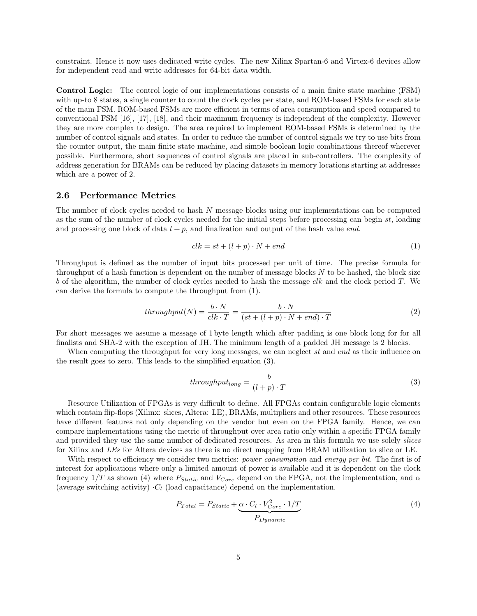constraint. Hence it now uses dedicated write cycles. The new Xilinx Spartan-6 and Virtex-6 devices allow for independent read and write addresses for 64-bit data width.

**Control Logic:** The control logic of our implementations consists of a main finite state machine (FSM) with up-to 8 states, a single counter to count the clock cycles per state, and ROM-based FSMs for each state of the main FSM. ROM-based FSMs are more efficient in terms of area consumption and speed compared to conventional FSM [16], [17], [18], and their maximum frequency is independent of the complexity. However they are more complex to design. The area required to implement ROM-based FSMs is determined by the number of control signals and states. In order to reduce the number of control signals we try to use bits from the counter output, the main finite state machine, and simple boolean logic combinations thereof wherever possible. Furthermore, short sequences of control signals are placed in sub-controllers. The complexity of address generation for BRAMs can be reduced by placing datasets in memory locations starting at addresses which are a power of 2.

#### **2.6 Performance Metrics**

The number of clock cycles needed to hash *N* message blocks using our implementations can be computed as the sum of the number of clock cycles needed for the initial steps before processing can begin *st*, loading and processing one block of data  $l + p$ , and finalization and output of the hash value *end*.

$$
clk = st + (l + p) \cdot N + end \tag{1}
$$

Throughput is defined as the number of input bits processed per unit of time. The precise formula for throughput of a hash function is dependent on the number of message blocks *N* to be hashed, the block size *b* of the algorithm, the number of clock cycles needed to hash the message *clk* and the clock period *T*. We can derive the formula to compute the throughput from (1).

$$
throughput(N) = \frac{b \cdot N}{clk \cdot T} = \frac{b \cdot N}{(st + (l + p) \cdot N + end) \cdot T}
$$
\n(2)

For short messages we assume a message of 1 byte length which after padding is one block long for for all finalists and SHA-2 with the exception of JH. The minimum length of a padded JH message is 2 blocks.

When computing the throughput for very long messages, we can neglect *st* and *end* as their influence on the result goes to zero. This leads to the simplified equation (3).

$$
throughput_{long} = \frac{b}{(l+p) \cdot T}
$$
\n(3)

Resource Utilization of FPGAs is very difficult to define. All FPGAs contain configurable logic elements which contain flip-flops (Xilinx: slices, Altera: LE), BRAMs, multipliers and other resources. These resources have different features not only depending on the vendor but even on the FPGA family. Hence, we can compare implementations using the metric of throughput over area ratio only within a specific FPGA family and provided they use the same number of dedicated resources. As area in this formula we use solely *slices* for Xilinx and *LEs* for Altera devices as there is no direct mapping from BRAM utilization to slice or LE.

With respect to efficiency we consider two metrics: *power consumption* and *energy per bit*. The first is of interest for applications where only a limited amount of power is available and it is dependent on the clock frequency 1*/T* as shown (4) where *PStatic* and *VCore* depend on the FPGA, not the implementation, and *α* (average switching activity)  $\cdot$ *C*<sub>*l*</sub> (load capacitance) depend on the implementation.

$$
P_{Total} = P_{Static} + \underbrace{\alpha \cdot C_l \cdot V_{Core}^2 \cdot 1/T}_{P_{\text{C}}}
$$
\n
$$
\tag{4}
$$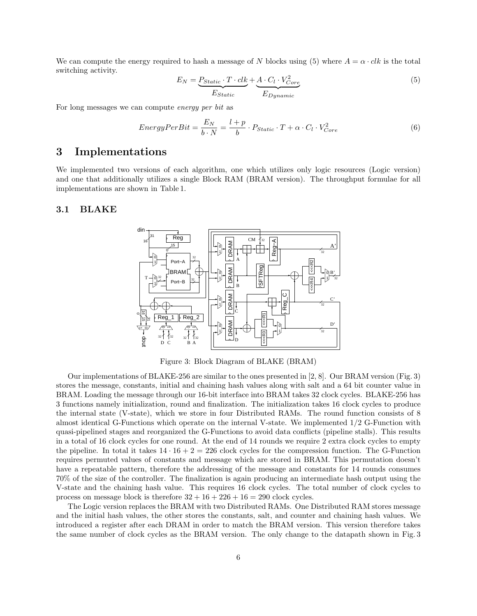We can compute the energy required to hash a message of *N* blocks using (5) where  $A = \alpha \cdot ck$  is the total switching activity.

$$
E_N = \underbrace{P_{Static} \cdot T \cdot clk}_{Estatic} + \underbrace{A \cdot C_l \cdot V_{Core}^2}_{Epynamic}
$$
\n
$$
(5)
$$

For long messages we can compute *energy per bit* as

$$
EnergyPerBit = \frac{E_N}{b \cdot N} = \frac{l+p}{b} \cdot P_{Static} \cdot T + \alpha \cdot C_l \cdot V_{Core}^2 \tag{6}
$$

## **3 Implementations**

We implemented two versions of each algorithm, one which utilizes only logic resources (Logic version) and one that additionally utilizes a single Block RAM (BRAM version). The throughput formulae for all implementations are shown in Table 1.

#### **3.1 BLAKE**



Figure 3: Block Diagram of BLAKE (BRAM)

Our implementations of BLAKE-256 are similar to the ones presented in [2, 8]. Our BRAM version (Fig. 3) stores the message, constants, initial and chaining hash values along with salt and a 64 bit counter value in BRAM. Loading the message through our 16-bit interface into BRAM takes 32 clock cycles. BLAKE-256 has 3 functions namely initialization, round and finalization. The initialization takes 16 clock cycles to produce the internal state (V-state), which we store in four Distributed RAMs. The round function consists of 8 almost identical G-Functions which operate on the internal V-state. We implemented 1/2 G-Function with quasi-pipelined stages and reorganized the G-Functions to avoid data conflicts (pipeline stalls). This results in a total of 16 clock cycles for one round. At the end of 14 rounds we require 2 extra clock cycles to empty the pipeline. In total it takes  $14 \cdot 16 + 2 = 226$  clock cycles for the compression function. The G-Function requires permuted values of constants and message which are stored in BRAM. This permutation doesn't have a repeatable pattern, therefore the addressing of the message and constants for 14 rounds consumes 70% of the size of the controller. The finalization is again producing an intermediate hash output using the V-state and the chaining hash value. This requires 16 clock cycles. The total number of clock cycles to process on message block is therefore  $32 + 16 + 226 + 16 = 290$  clock cycles.

The Logic version replaces the BRAM with two Distributed RAMs. One Distributed RAM stores message and the initial hash values, the other stores the constants, salt, and counter and chaining hash values. We introduced a register after each DRAM in order to match the BRAM version. This version therefore takes the same number of clock cycles as the BRAM version. The only change to the datapath shown in Fig. 3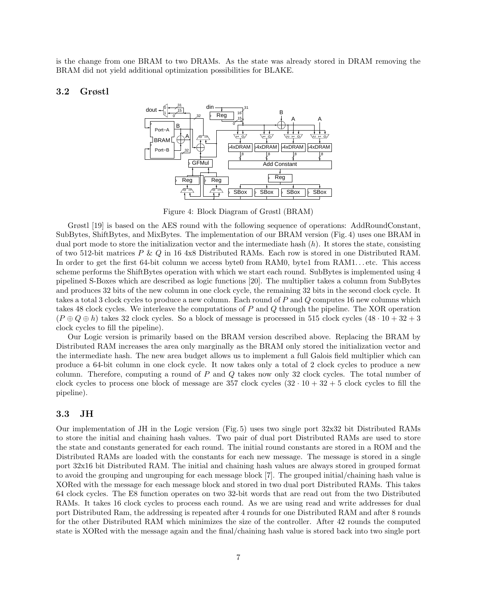is the change from one BRAM to two DRAMs. As the state was already stored in DRAM removing the BRAM did not yield additional optimization possibilities for BLAKE.

#### **3.2 Grøstl**



Figure 4: Block Diagram of Grøstl (BRAM)

Grøstl [19] is based on the AES round with the following sequence of operations: AddRoundConstant, SubBytes, ShiftBytes, and MixBytes. The implementation of our BRAM version (Fig. 4) uses one BRAM in dual port mode to store the initialization vector and the intermediate hash (*h*). It stores the state, consisting of two 512-bit matrices *P* & *Q* in 16 4x8 Distributed RAMs. Each row is stored in one Distributed RAM. In order to get the first 64-bit column we access byte0 from RAM0, byte1 from RAM1...etc. This access scheme performs the ShiftBytes operation with which we start each round. SubBytes is implemented using 4 pipelined S-Boxes which are described as logic functions [20]. The multiplier takes a column from SubBytes and produces 32 bits of the new column in one clock cycle, the remaining 32 bits in the second clock cycle. It takes a total 3 clock cycles to produce a new column. Each round of *P* and *Q* computes 16 new columns which takes 48 clock cycles. We interleave the computations of *P* and *Q* through the pipeline. The XOR operation  $(P \oplus Q \oplus h)$  takes 32 clock cycles. So a block of message is processed in 515 clock cycles  $(48 \cdot 10 + 32 + 3)$ clock cycles to fill the pipeline).

Our Logic version is primarily based on the BRAM version described above. Replacing the BRAM by Distributed RAM increases the area only marginally as the BRAM only stored the initialization vector and the intermediate hash. The new area budget allows us to implement a full Galois field multiplier which can produce a 64-bit column in one clock cycle. It now takes only a total of 2 clock cycles to produce a new column. Therefore, computing a round of *P* and *Q* takes now only 32 clock cycles. The total number of clock cycles to process one block of message are  $357$  clock cycles  $(32 \cdot 10 + 32 + 5$  clock cycles to fill the pipeline).

#### **3.3 JH**

Our implementation of JH in the Logic version (Fig. 5) uses two single port 32x32 bit Distributed RAMs to store the initial and chaining hash values. Two pair of dual port Distributed RAMs are used to store the state and constants generated for each round. The initial round constants are stored in a ROM and the Distributed RAMs are loaded with the constants for each new message. The message is stored in a single port 32x16 bit Distributed RAM. The initial and chaining hash values are always stored in grouped format to avoid the grouping and ungrouping for each message block [7]. The grouped initial/chaining hash value is XORed with the message for each message block and stored in two dual port Distributed RAMs. This takes 64 clock cycles. The E8 function operates on two 32-bit words that are read out from the two Distributed RAMs. It takes 16 clock cycles to process each round. As we are using read and write addresses for dual port Distributed Ram, the addressing is repeated after 4 rounds for one Distributed RAM and after 8 rounds for the other Distributed RAM which minimizes the size of the controller. After 42 rounds the computed state is XORed with the message again and the final/chaining hash value is stored back into two single port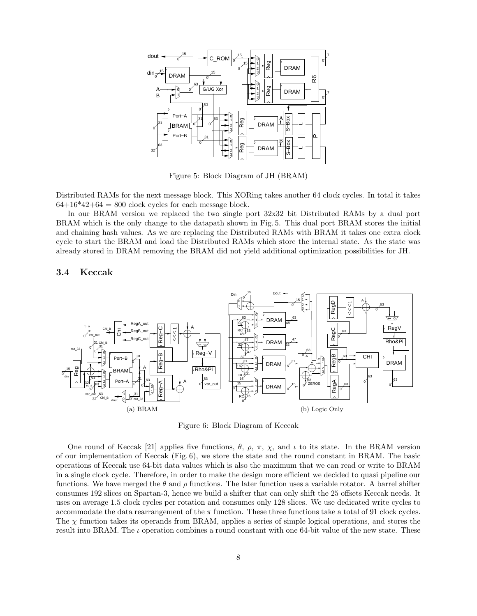

Figure 5: Block Diagram of JH (BRAM)

Distributed RAMs for the next message block. This XORing takes another 64 clock cycles. In total it takes  $64+16*42+64 = 800$  clock cycles for each message block.

In our BRAM version we replaced the two single port 32x32 bit Distributed RAMs by a dual port BRAM which is the only change to the datapath shown in Fig. 5. This dual port BRAM stores the initial and chaining hash values. As we are replacing the Distributed RAMs with BRAM it takes one extra clock cycle to start the BRAM and load the Distributed RAMs which store the internal state. As the state was already stored in DRAM removing the BRAM did not yield additional optimization possibilities for JH.

#### **3.4 Keccak**



Figure 6: Block Diagram of Keccak

One round of Keccak [21] applies five functions,  $\theta$ ,  $\rho$ ,  $\pi$ ,  $\chi$ , and  $\iota$  to its state. In the BRAM version of our implementation of Keccak (Fig. 6), we store the state and the round constant in BRAM. The basic operations of Keccak use 64-bit data values which is also the maximum that we can read or write to BRAM in a single clock cycle. Therefore, in order to make the design more efficient we decided to quasi pipeline our functions. We have merged the *θ* and *ρ* functions. The later function uses a variable rotator. A barrel shifter consumes 192 slices on Spartan-3, hence we build a shifter that can only shift the 25 offsets Keccak needs. It uses on average 1.5 clock cycles per rotation and consumes only 128 slices. We use dedicated write cycles to accommodate the data rearrangement of the  $\pi$  function. These three functions take a total of 91 clock cycles. The  $\chi$  function takes its operands from BRAM, applies a series of simple logical operations, and stores the result into BRAM. The *ι* operation combines a round constant with one 64-bit value of the new state. These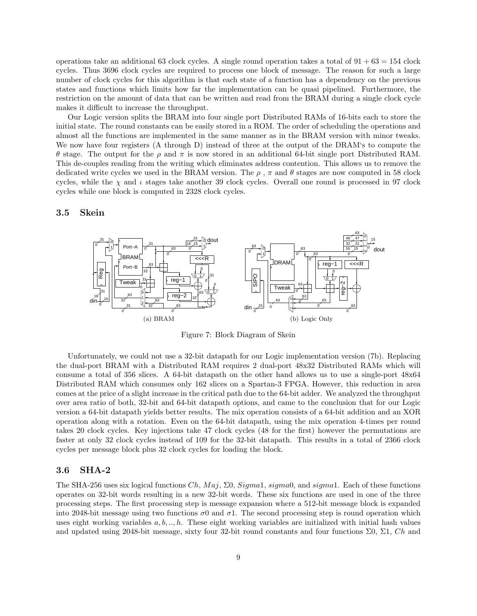operations take an additional 63 clock cycles. A single round operation takes a total of  $91 + 63 = 154$  clock cycles. Thus 3696 clock cycles are required to process one block of message. The reason for such a large number of clock cycles for this algorithm is that each state of a function has a dependency on the previous states and functions which limits how far the implementation can be quasi pipelined. Furthermore, the restriction on the amount of data that can be written and read from the BRAM during a single clock cycle makes it difficult to increase the throughput.

Our Logic version splits the BRAM into four single port Distributed RAMs of 16-bits each to store the initial state. The round constants can be easily stored in a ROM. The order of scheduling the operations and almost all the functions are implemented in the same manner as in the BRAM version with minor tweaks. We now have four registers (A through D) instead of three at the output of the DRAM's to compute the *θ* stage. The output for the *ρ* and *π* is now stored in an additional 64-bit single port Distributed RAM. This de-couples reading from the writing which eliminates address contention. This allows us to remove the dedicated write cycles we used in the BRAM version. The  $\rho$ ,  $\pi$  and  $\theta$  stages are now computed in 58 clock cycles, while the *χ* and *ι* stages take another 39 clock cycles. Overall one round is processed in 97 clock cycles while one block is computed in 2328 clock cycles.

#### **3.5 Skein**



Figure 7: Block Diagram of Skein

Unfortunately, we could not use a 32-bit datapath for our Logic implementation version (7b). Replacing the dual-port BRAM with a Distributed RAM requires 2 dual-port 48x32 Distributed RAMs which will consume a total of 356 slices. A 64-bit datapath on the other hand allows us to use a single-port 48x64 Distributed RAM which consumes only 162 slices on a Spartan-3 FPGA. However, this reduction in area comes at the price of a slight increase in the critical path due to the 64-bit adder. We analyzed the throughput over area ratio of both, 32-bit and 64-bit datapath options, and came to the conclusion that for our Logic version a 64-bit datapath yields better results. The mix operation consists of a 64-bit addition and an XOR operation along with a rotation. Even on the 64-bit datapath, using the mix operation 4-times per round takes 20 clock cycles. Key injections take 47 clock cycles (48 for the first) however the permutations are faster at only 32 clock cycles instead of 109 for the 32-bit datapath. This results in a total of 2366 clock cycles per message block plus 32 clock cycles for loading the block.

#### **3.6 SHA-2**

The SHA-256 uses six logical functions *Ch*, *M aj*, Σ0, *Sigma*1, *sigma*0, and *sigma*1. Each of these functions operates on 32-bit words resulting in a new 32-bit words. These six functions are used in one of the three processing steps. The first processing step is message expansion where a 512-bit message block is expanded into 2048-bit message using two functions  $\sigma$ 0 and  $\sigma$ 1. The second processing step is round operation which uses eight working variables *a, b, .., h*. These eight working variables are initialized with initial hash values and updated using 2048-bit message, sixty four 32-bit round constants and four functions Σ0, Σ1, *Ch* and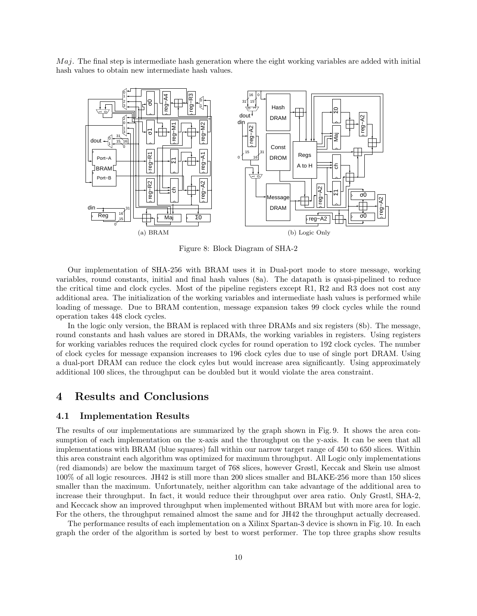*M aj*. The final step is intermediate hash generation where the eight working variables are added with initial hash values to obtain new intermediate hash values.



Figure 8: Block Diagram of SHA-2

Our implementation of SHA-256 with BRAM uses it in Dual-port mode to store message, working variables, round constants, initial and final hash values (8a). The datapath is quasi-pipelined to reduce the critical time and clock cycles. Most of the pipeline registers except R1, R2 and R3 does not cost any additional area. The initialization of the working variables and intermediate hash values is performed while loading of message. Due to BRAM contention, message expansion takes 99 clock cycles while the round operation takes 448 clock cycles.

In the logic only version, the BRAM is replaced with three DRAMs and six registers (8b). The message, round constants and hash values are stored in DRAMs, the working variables in registers. Using registers for working variables reduces the required clock cycles for round operation to 192 clock cycles. The number of clock cycles for message expansion increases to 196 clock cyles due to use of single port DRAM. Using a dual-port DRAM can reduce the clock cyles but would increase area significantly. Using approximately additional 100 slices, the throughput can be doubled but it would violate the area constraint.

# **4 Results and Conclusions**

#### **4.1 Implementation Results**

The results of our implementations are summarized by the graph shown in Fig. 9. It shows the area consumption of each implementation on the x-axis and the throughput on the y-axis. It can be seen that all implementations with BRAM (blue squares) fall within our narrow target range of 450 to 650 slices. Within this area constraint each algorithm was optimized for maximum throughput. All Logic only implementations (red diamonds) are below the maximum target of 768 slices, however Grøstl, Keccak and Skein use almost 100% of all logic resources. JH42 is still more than 200 slices smaller and BLAKE-256 more than 150 slices smaller than the maximum. Unfortunately, neither algorithm can take advantage of the additional area to increase their throughput. In fact, it would reduce their throughput over area ratio. Only Grøstl, SHA-2, and Keccack show an improved throughput when implemented without BRAM but with more area for logic. For the others, the throughput remained almost the same and for JH42 the throughput actually decreased.

The performance results of each implementation on a Xilinx Spartan-3 device is shown in Fig. 10. In each graph the order of the algorithm is sorted by best to worst performer. The top three graphs show results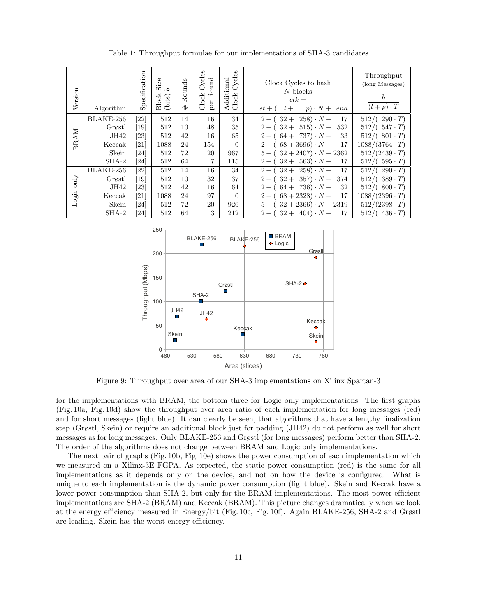| Version       | Algorithm | Specification      | Size<br>C,<br><b>Block</b><br>(bits) | Rounds<br>$^{\rm \#}$ | Cycles<br>Round<br>Clock<br>per | Cycles<br>Additional<br>Clock | Clock Cycles to hash<br>$N$ blocks<br>$clk =$<br>$p) \cdot N +$<br>$st + ($<br>$l +$<br>end | Throughput<br>(long Messages)<br>b<br>$(l+p)\cdot T$ |
|---------------|-----------|--------------------|--------------------------------------|-----------------------|---------------------------------|-------------------------------|---------------------------------------------------------------------------------------------|------------------------------------------------------|
|               | BLAKE-256 | [22]               | 512                                  | 14                    | 16                              | 34                            | $(258) \cdot N +$<br>17<br>$32+$<br>$2 + ($                                                 | $512/((290 \cdot T))$                                |
| BRAM          | Grøstl    | [19]               | 512                                  | 10                    | 48                              | 35                            | $32 + 515 \cdot N +$<br>532<br>$2 + ($                                                      | $512/(.547 \cdot T)$                                 |
|               | JH42      | $\left[ 23\right]$ | 512                                  | 42                    | 16                              | 65                            | $2 + (64 + 737) \cdot N +$<br>33                                                            | $512/(.801 \cdot T)$                                 |
|               | Keccak    | $\left[ 21\right]$ | 1088                                 | 24                    | 154                             | $\Omega$                      | $2 + (68 + 3696) \cdot N +$<br>17                                                           | $1088/(3764 \cdot T)$                                |
|               | Skein     | $\left[ 24\right]$ | 512                                  | 72                    | 20                              | 967                           | $5 + (32 + 2407) \cdot N + 2362$                                                            | $512/(2439 \cdot T)$                                 |
|               | $SHA-2$   | $\left[ 24\right]$ | 512                                  | 64                    | 7                               | 115                           | $32 + 563) \cdot N +$<br>$2 + ($<br>17                                                      | $512/(.595 \cdot T)$                                 |
|               | BLAKE-256 | [22]               | 512                                  | 14                    | 16                              | 34                            | $2 + (32 + 258) \cdot N +$<br>17                                                            | $512/(-290 \cdot T)$                                 |
| $_{\rm only}$ | Grøstl    | $[19]$             | 512                                  | 10                    | 32                              | 37                            | $2 + (32 + 357) \cdot N +$<br>374                                                           | $512/(\;389 \cdot T)$                                |
| Logic         | JH42      | $\left[ 23\right]$ | 512                                  | 42                    | 16                              | 64                            | $2 + (64 + 736) \cdot N +$<br>32                                                            | $512/((800 \cdot T))$                                |
|               | Keccak    | $\left[ 21\right]$ | 1088                                 | 24                    | 97                              | $\Omega$                      | $2 + (68 + 2328) \cdot N +$<br>17                                                           | $1088/(2396 \cdot T)$                                |
|               | Skein     | [24]               | 512                                  | 72                    | 20                              | 926                           | $5 + (32 + 2366) \cdot N + 2319$                                                            | $512/(2398 \cdot T)$                                 |
|               | $SHA-2$   | $\left[ 24\right]$ | 512                                  | 64                    | 3                               | 212                           | $32 + 404) \cdot N +$<br>$2 + ($<br>17                                                      | 512/<br>$436 \cdot T$                                |

Table 1: Throughput formulae for our implementations of SHA-3 candidates



Figure 9: Throughput over area of our SHA-3 implementations on Xilinx Spartan-3

for the implementations with BRAM, the bottom three for Logic only implementations. The first graphs (Fig. 10a, Fig. 10d) show the throughput over area ratio of each implementation for long messages (red) and for short messages (light blue). It can clearly be seen, that algorithms that have a lengthy finalization step (Grøstl, Skein) or require an additional block just for padding (JH42) do not perform as well for short messages as for long messages. Only BLAKE-256 and Grøstl (for long messages) perform better than SHA-2. The order of the algorithms does not change between BRAM and Logic only implementations.

The next pair of graphs (Fig. 10b, Fig. 10e) shows the power consumption of each implementation which we measured on a Xilinx-3E FGPA. As expected, the static power consumption (red) is the same for all implementations as it depends only on the device, and not on how the device is configured. What is unique to each implementation is the dynamic power consumption (light blue). Skein and Keccak have a lower power consumption than SHA-2, but only for the BRAM implementations. The most power efficient implementations are SHA-2 (BRAM) and Keccak (BRAM). This picture changes dramatically when we look at the energy efficiency measured in Energy/bit (Fig. 10c, Fig. 10f). Again BLAKE-256, SHA-2 and Grøstl are leading. Skein has the worst energy efficiency.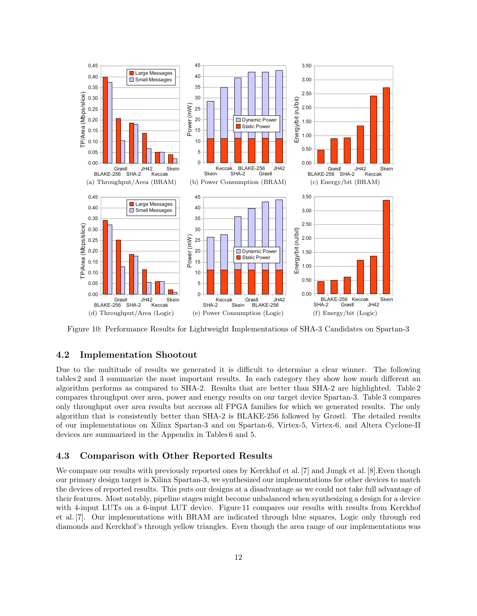

Figure 10: Performance Results for Lightweight Implementations of SHA-3 Candidates on Spartan-3

## **4.2 Implementation Shootout**

Due to the multitude of results we generated it is difficult to determine a clear winner. The following tables 2 and 3 summarize the most important results. In each category they show how much different an algorithm performs as compared to SHA-2. Results that are better than SHA-2 are highlighted. Table 2 compares throughput over area, power and energy results on our target device Spartan-3. Table 3 compares only throughput over area results but accross all FPGA families for which we generated results. The only algorithm that is consistently better than SHA-2 is BLAKE-256 followed by Grøstl. The detailed results of our implementations on Xilinx Spartan-3 and on Spartan-6, Virtex-5, Virtex-6, and Altera Cyclone-II devices are summarized in the Appendix in Tables 6 and 5.

### **4.3 Comparison with Other Reported Results**

We compare our results with previously reported ones by Kerckhof et al. [7] and Jungk et al. [8]. Even though our primary design target is Xilinx Spartan-3, we synthesized our implementations for other devices to match the devices of reported results. This puts our designs at a disadvantage as we could not take full advantage of their features. Most notably, pipeline stages might become unbalanced when synthesizing a design for a device with 4-input LUTs on a 6-input LUT device. Figure 11 compares our results with results from Kerckhof et al. [7]. Our implementations with BRAM are indicated through blue squares, Logic only through red diamonds and Kerckhof's through yellow triangles. Even though the area range of our implementations was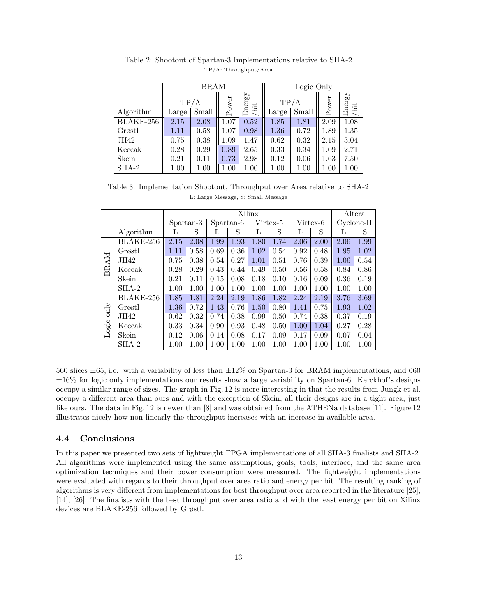|           |                | <b>BRAM</b> |       |                | Logic Only |       |          |                |  |  |
|-----------|----------------|-------------|-------|----------------|------------|-------|----------|----------------|--|--|
|           |                | TP/A        | Power | Energy<br>/bit | TP/A       |       | Power    | Energy<br>/bit |  |  |
| Algorithm | Small<br>Large |             |       |                | Large      | Small |          |                |  |  |
| BLAKE-256 | 2.15           | 2.08        | 1.07  | 0.52           | 1.85       | 1.81  | 2.09     | 1.08           |  |  |
| Grøstl    | 1.11           | 0.58        | 1.07  | 0.98           | 1.36       | 0.72  | 1.89     | 1.35           |  |  |
| JH42      | 0.75           | 0.38        | 1.09  | 1.47           | 0.62       | 0.32  | 2.15     | 3.04           |  |  |
| Keccak    | 0.28           | 0.29        | 0.89  | 2.65           | 0.33       | 0.34  | 1.09     | 2.71           |  |  |
| Skein     | 0.21           | 0.11        | 0.73  | 2.98           | 0.12       | 0.06  | 1.63     | 7.50           |  |  |
| $SHA-2$   | 1.00           | 1.00        | 1.00  | 1.00           | 1.00       | 1.00  | $1.00\,$ | $1.00\,$       |  |  |

Table 2: Shootout of Spartan-3 Implementations relative to SHA-2 TP/A: Throughput/Area

Table 3: Implementation Shootout, Throughput over Area relative to SHA-2 L: Large Message, S: Small Message

|               |           | Xilinx    |      |           |      |          |      |          |      | Altera     |      |
|---------------|-----------|-----------|------|-----------|------|----------|------|----------|------|------------|------|
|               |           | Spartan-3 |      | Spartan-6 |      | Virtex-5 |      | Virtex-6 |      | Cyclone-II |      |
|               | Algorithm | L         | S    | L         | S    | L        | S    | L        | S    | L          | S    |
|               | BLAKE-256 | 2.15      | 2.08 | 1.99      | 1.93 | 1.80     | 1.74 | 2.06     | 2.00 | 2.06       | 1.99 |
|               | Grøstl    | 1.11      | 0.58 | 0.69      | 0.36 | 1.02     | 0.54 | 0.92     | 0.48 | 1.95       | 1.02 |
| <b>BRAM</b>   | JH42      | 0.75      | 0.38 | 0.54      | 0.27 | 1.01     | 0.51 | 0.76     | 0.39 | 1.06       | 0.54 |
|               | Keccak    | 0.28      | 0.29 | 0.43      | 0.44 | 0.49     | 0.50 | 0.56     | 0.58 | 0.84       | 0.86 |
|               | Skein     | 0.21      | 0.11 | 0.15      | 0.08 | 0.18     | 0.10 | 0.16     | 0.09 | 0.36       | 0.19 |
|               | $SHA-2$   | 1.00      | 1.00 | 1.00      | 1.00 | 1.00     | 1.00 | 1.00     | 1.00 | 1.00       | 1.00 |
|               | BLAKE-256 | 1.85      | 1.81 | 2.24      | 2.19 | 1.86     | 1.82 | 2.24     | 2.19 | 3.76       | 3.69 |
| $_{\rm only}$ | Grøstl    | 1.36      | 0.72 | 1.43      | 0.76 | 1.50     | 0.80 | 1.41     | 0.75 | 1.93       | 1.02 |
|               | JH42      | 0.62      | 0.32 | 0.74      | 0.38 | 0.99     | 0.50 | 0.74     | 0.38 | 0.37       | 0.19 |
| Logic         | Keccak    | 0.33      | 0.34 | 0.90      | 0.93 | 0.48     | 0.50 | 1.00     | 1.04 | 0.27       | 0.28 |
|               | Skein     | 0.12      | 0.06 | 0.14      | 0.08 | 0.17     | 0.09 | 0.17     | 0.09 | 0.07       | 0.04 |
|               | $SHA-2$   | 1.00      | 1.00 | 1.00      | 1.00 | 1.00     | 1.00 | 1.00     | 1.00 | 1.00       | 1.00 |

560 slices *±*65, i.e. with a variability of less than *±*12% on Spartan-3 for BRAM implementations, and 660 *±*16% for logic only implementations our results show a large variability on Spartan-6. Kerckhof's designs occupy a similar range of sizes. The graph in Fig. 12 is more interesting in that the results from Jungk et al. occupy a different area than ours and with the exception of Skein, all their designs are in a tight area, just like ours. The data in Fig. 12 is newer than [8] and was obtained from the ATHENa database [11]. Figure 12 illustrates nicely how non linearly the throughput increases with an increase in available area.

## **4.4 Conclusions**

In this paper we presented two sets of lightweight FPGA implementations of all SHA-3 finalists and SHA-2. All algorithms were implemented using the same assumptions, goals, tools, interface, and the same area optimization techniques and their power consumption were measured. The lightweight implementations were evaluated with regards to their throughput over area ratio and energy per bit. The resulting ranking of algorithms is very different from implementations for best throughput over area reported in the literature [25], [14], [26]. The finalists with the best throughput over area ratio and with the least energy per bit on Xilinx devices are BLAKE-256 followed by Grøstl.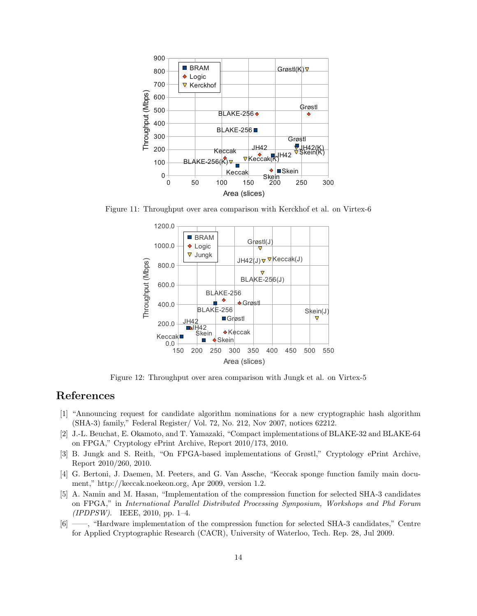

Figure 11: Throughput over area comparison with Kerckhof et al. on Virtex-6



Figure 12: Throughput over area comparison with Jungk et al. on Virtex-5

# **References**

- [1] "Announcing request for candidate algorithm nominations for a new cryptographic hash algorithm (SHA-3) family," Federal Register/ Vol. 72, No. 212, Nov 2007, notices 62212.
- [2] J.-L. Beuchat, E. Okamoto, and T. Yamazaki, "Compact implementations of BLAKE-32 and BLAKE-64 on FPGA," Cryptology ePrint Archive, Report 2010/173, 2010.
- [3] B. Jungk and S. Reith, "On FPGA-based implementations of Grøstl," Cryptology ePrint Archive, Report 2010/260, 2010.
- [4] G. Bertoni, J. Daemen, M. Peeters, and G. Van Assche, "Keccak sponge function family main document," http://keccak.noekeon.org, Apr 2009, version 1.2.
- [5] A. Namin and M. Hasan, "Implementation of the compression function for selected SHA-3 candidates on FPGA," in *International Parallel Distributed Processing Symposium, Workshops and Phd Forum (IPDPSW)*. IEEE, 2010, pp. 1–4.
- [6] ——, "Hardware implementation of the compression function for selected SHA-3 candidates," Centre for Applied Cryptographic Research (CACR), University of Waterloo, Tech. Rep. 28, Jul 2009.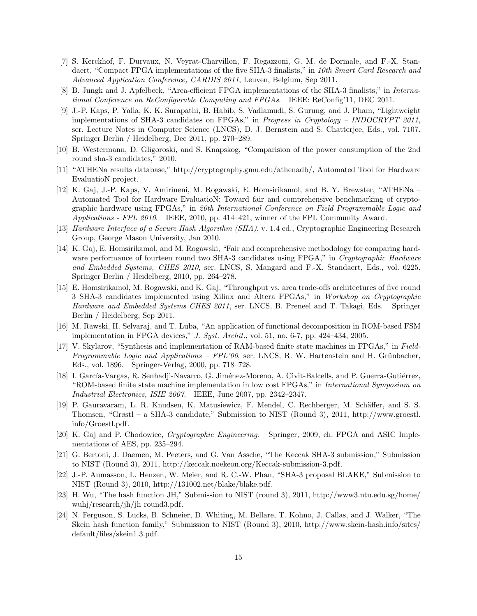- [7] S. Kerckhof, F. Durvaux, N. Veyrat-Charvillon, F. Regazzoni, G. M. de Dormale, and F.-X. Standaert, "Compact FPGA implementations of the five SHA-3 finalists," in *10th Smart Card Research and Advanced Application Conference, CARDIS 2011*, Leuven, Belgium, Sep 2011.
- [8] B. Jungk and J. Apfelbeck, "Area-efficient FPGA implementations of the SHA-3 finalists," in *International Conference on ReConfigurable Computing and FPGAs*. IEEE: ReConfig'11, DEC 2011.
- [9] J.-P. Kaps, P. Yalla, K. K. Surapathi, B. Habib, S. Vadlamudi, S. Gurung, and J. Pham, "Lightweight implementations of SHA-3 candidates on FPGAs," in *Progress in Cryptology – INDOCRYPT 2011*, ser. Lecture Notes in Computer Science (LNCS), D. J. Bernstein and S. Chatterjee, Eds., vol. 7107. Springer Berlin / Heidelberg, Dec 2011, pp. 270–289.
- [10] B. Westermann, D. Gligoroski, and S. Knapskog, "Comparision of the power consumption of the 2nd round sha-3 candidates," 2010.
- [11] "ATHENa results database," http://cryptography.gmu.edu/athenadb/, Automated Tool for Hardware EvaluatioN project.
- [12] K. Gaj, J.-P. Kaps, V. Amirineni, M. Rogawski, E. Homsirikamol, and B. Y. Brewster, "ATHENa Automated Tool for Hardware EvaluatioN: Toward fair and comprehensive benchmarking of cryptographic hardware using FPGAs," in *20th International Conference on Field Programmable Logic and Applications - FPL 2010*. IEEE, 2010, pp. 414–421, winner of the FPL Community Award.
- [13] *Hardware Interface of a Secure Hash Algorithm (SHA)*, v. 1.4 ed., Cryptographic Engineering Research Group, George Mason University, Jan 2010.
- [14] K. Gaj, E. Homsirikamol, and M. Rogawski, "Fair and comprehensive methodology for comparing hardware performance of fourteen round two SHA-3 candidates using FPGA," in *Cryptographic Hardware and Embedded Systems, CHES 2010*, ser. LNCS, S. Mangard and F.-X. Standaert, Eds., vol. 6225. Springer Berlin / Heidelberg, 2010, pp. 264–278.
- [15] E. Homsirikamol, M. Rogawski, and K. Gaj, "Throughput vs. area trade-offs architectures of five round 3 SHA-3 candidates implemented using Xilinx and Altera FPGAs," in *Workshop on Cryptographic Hardware and Embedded Systems CHES 2011*, ser. LNCS, B. Preneel and T. Takagi, Eds. Springer Berlin / Heidelberg, Sep 2011.
- [16] M. Rawski, H. Selvaraj, and T. Luba, "An application of functional decomposition in ROM-based FSM implementation in FPGA devices," *J. Syst. Archit.*, vol. 51, no. 6-7, pp. 424–434, 2005.
- [17] V. Skylarov, "Synthesis and implementation of RAM-based finite state machines in FPGAs," in *Field-Programmable Logic and Applications – FPL'00*, ser. LNCS, R. W. Hartenstein and H. Grünbacher, Eds., vol. 1896. Springer-Verlag, 2000, pp. 718–728.
- [18] I. García-Vargas, R. Senhadji-Navarro, G. Jiménez-Moreno, A. Civit-Balcells, and P. Guerra-Gutiérrez, "ROM-based finite state machine implementation in low cost FPGAs," in *International Symposium on Industrial Electronics, ISIE 2007*. IEEE, June 2007, pp. 2342–2347.
- [19] P. Gauravaram, L. R. Knudsen, K. Matusiewicz, F. Mendel, C. Rechberger, M. Schäffer, and S. S. Thomsen, "Grøstl – a SHA-3 candidate," Submission to NIST (Round 3), 2011, http://www.groestl. info/Groestl.pdf.
- [20] K. Gaj and P. Chodowiec, *Cryptographic Engineering*. Springer, 2009, ch. FPGA and ASIC Implementations of AES, pp. 235–294.
- [21] G. Bertoni, J. Daemen, M. Peeters, and G. Van Assche, "The Keccak SHA-3 submission," Submission to NIST (Round 3), 2011, http://keccak.noekeon.org/Keccak-submission-3.pdf.
- [22] J.-P. Aumasson, L. Henzen, W. Meier, and R. C.-W. Phan, "SHA-3 proposal BLAKE," Submission to NIST (Round 3), 2010, http://131002.net/blake/blake.pdf.
- [23] H. Wu, "The hash function JH," Submission to NIST (round 3), 2011, http://www3.ntu.edu.sg/home/ wuhj/research/jh/jh\_round3.pdf.
- [24] N. Ferguson, S. Lucks, B. Schneier, D. Whiting, M. Bellare, T. Kohno, J. Callas, and J. Walker, "The Skein hash function family," Submission to NIST (Round 3), 2010, http://www.skein-hash.info/sites/ default/files/skein1.3.pdf.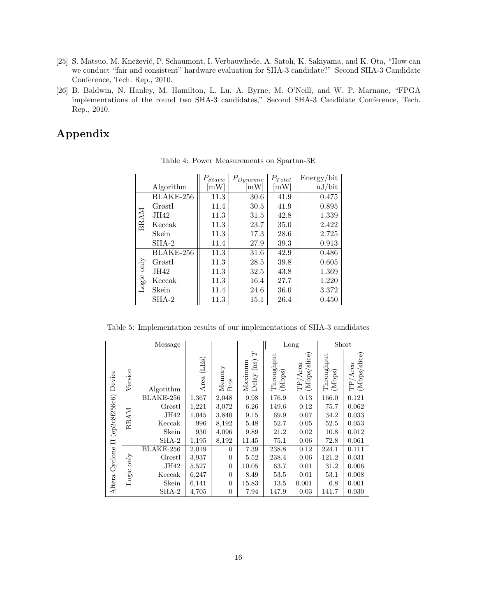- [25] S. Matsuo, M. Knežević, P. Schaumont, I. Verbauwhede, A. Satoh, K. Sakiyama, and K. Ota, "How can we conduct "fair and consistent" hardware evaluation for SHA-3 candidate?" Second SHA-3 Candidate Conference, Tech. Rep., 2010.
- [26] B. Baldwin, N. Hanley, M. Hamilton, L. Lu, A. Byrne, M. O'Neill, and W. P. Marnane, "FPGA implementations of the round two SHA-3 candidates," Second SHA-3 Candidate Conference, Tech. Rep., 2010.

# **Appendix**

|             |           | $P_{Static}$               | $P_{Dynamic}$ | $P_{Total}$                | Energy/bit |
|-------------|-----------|----------------------------|---------------|----------------------------|------------|
|             | Algorithm | $\mathop{\rm mW}\nolimits$ | mW            | $\left[\mathrm{mW}\right]$ | nJ/bit     |
|             | BLAKE-256 | 11.3                       | 30.6          | 41.9                       | 0.475      |
|             | Grøstl    | 11.4                       | 30.5          | 41.9                       | 0.895      |
|             | JH42      | 11.3                       | 31.5          | 42.8                       | 1.339      |
| <b>BRAM</b> | Keccak    | 11.3                       | 23.7          | 35.0                       | 2.422      |
|             | Skein     | 11.3                       | 17.3          | 28.6                       | 2.725      |
|             | $SHA-2$   | 11.4                       | 27.9          | 39.3                       | 0.913      |
|             | BLAKE-256 | 11.3                       | 31.6          | 42.9                       | 0.486      |
|             | Grøstl    | 11.3                       | 28.5          | 39.8                       | 0.605      |
| Logic only  | JH42      | 11.3                       | 32.5          | 43.8                       | 1.369      |
|             | Keccak    | 11.3                       | 16.4          | 27.7                       | 1.220      |
|             | Skein     | 11.4                       | 24.6          | 36.0                       | 3.372      |
|             | $SHA-2$   | 11.3                       | 15.1          | 26.4                       | 0.450      |

Table 4: Power Measurements on Spartan-3E

Table 5: Implementation results of our implementations of SHA-3 candidates

|                   |             | Message   |               |                |                                      |                      | Long                       |                      | Short                      |
|-------------------|-------------|-----------|---------------|----------------|--------------------------------------|----------------------|----------------------------|----------------------|----------------------------|
| Device            | Version     | Algorithm | (LEs)<br>Area | Memory<br>Bits | H<br>(ns)<br>Maximum<br>$\rm{Delay}$ | Throughput<br>(Mbps) | (Mbps/slice)<br>$TP/A$ rea | Throughput<br>(Mbps) | (Mbps/slice)<br>$TP/A$ rea |
|                   | <b>BRAM</b> | BLAKE-256 | 1,367         | 2,048          | 9.98                                 | 176.9                | 0.13                       | 166.0                | 0.121                      |
| (ep2c8f256c6)     |             | Grøstl    | 1,221         | 3,072          | 6.26                                 | 149.6                | 0.12                       | 75.7                 | 0.062                      |
|                   |             | JH42      | 1,045         | 3,840          | 9.15                                 | 69.9                 | 0.07                       | 34.2                 | 0.033                      |
|                   |             | Keccak    | 996           | 8,192          | 5.48                                 | 52.7                 | 0.05                       | 52.5                 | 0.053                      |
|                   |             | Skein     | 930           | 4,096          | 9.89                                 | 21.2                 | 0.02                       | 10.8                 | 0.012                      |
| $\Box$            |             | $SHA-2$   | 1,195         | 8,192          | 11.45                                | 75.1                 | 0.06                       | 72.8                 | 0.061                      |
|                   |             | BLAKE-256 | 2,019         | $\overline{0}$ | 7.39                                 | 238.8                | 0.12                       | 224.1                | 0.111                      |
|                   | only        | Grøstl    | 3,937         | $\overline{0}$ | 5.52                                 | 238.4                | 0.06                       | 121.2                | 0.031                      |
| Cyclone<br>Altera |             | JH42      | 5,527         | $\overline{0}$ | 10.05                                | 63.7                 | 0.01                       | 31.2                 | 0.006                      |
|                   | Logic       | Keccak    | 6,247         | $\overline{0}$ | 8.49                                 | 53.5                 | 0.01                       | 53.1                 | 0.008                      |
|                   |             | Skein     | 6,141         | $\overline{0}$ | 15.83                                | 13.5                 | 0.001                      | 6.8                  | 0.001                      |
|                   |             | SHA-2     | 4,705         | $\overline{0}$ | 7.94                                 | 147.9                | 0.03                       | 141.7                | 0.030                      |